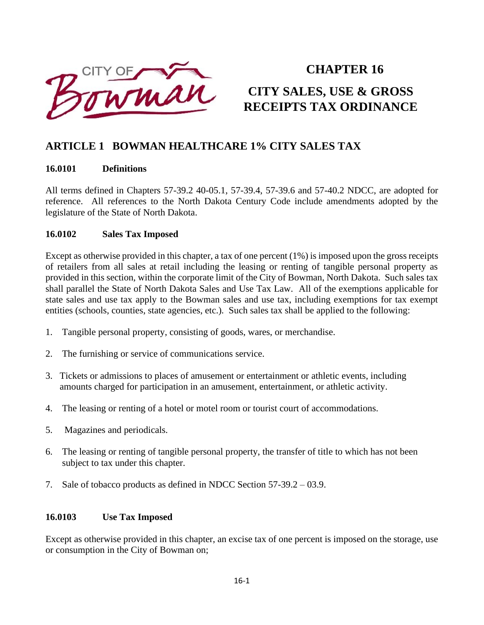

# **CHAPTER 16 CITY SALES, USE & GROSS RECEIPTS TAX ORDINANCE**

# **ARTICLE 1 BOWMAN HEALTHCARE 1% CITY SALES TAX**

#### **16.0101 Definitions**

All terms defined in Chapters 57-39.2 40-05.1, 57-39.4, 57-39.6 and 57-40.2 NDCC, are adopted for reference. All references to the North Dakota Century Code include amendments adopted by the legislature of the State of North Dakota.

#### **16.0102 Sales Tax Imposed**

Except as otherwise provided in this chapter, a tax of one percent (1%) is imposed upon the gross receipts of retailers from all sales at retail including the leasing or renting of tangible personal property as provided in this section, within the corporate limit of the City of Bowman, North Dakota. Such sales tax shall parallel the State of North Dakota Sales and Use Tax Law. All of the exemptions applicable for state sales and use tax apply to the Bowman sales and use tax, including exemptions for tax exempt entities (schools, counties, state agencies, etc.). Such sales tax shall be applied to the following:

- 1. Tangible personal property, consisting of goods, wares, or merchandise.
- 2. The furnishing or service of communications service.
- 3. Tickets or admissions to places of amusement or entertainment or athletic events, including amounts charged for participation in an amusement, entertainment, or athletic activity.
- 4. The leasing or renting of a hotel or motel room or tourist court of accommodations.
- 5. Magazines and periodicals.
- 6. The leasing or renting of tangible personal property, the transfer of title to which has not been subject to tax under this chapter.
- 7. Sale of tobacco products as defined in NDCC Section 57-39.2 03.9.

#### **16.0103 Use Tax Imposed**

Except as otherwise provided in this chapter, an excise tax of one percent is imposed on the storage, use or consumption in the City of Bowman on;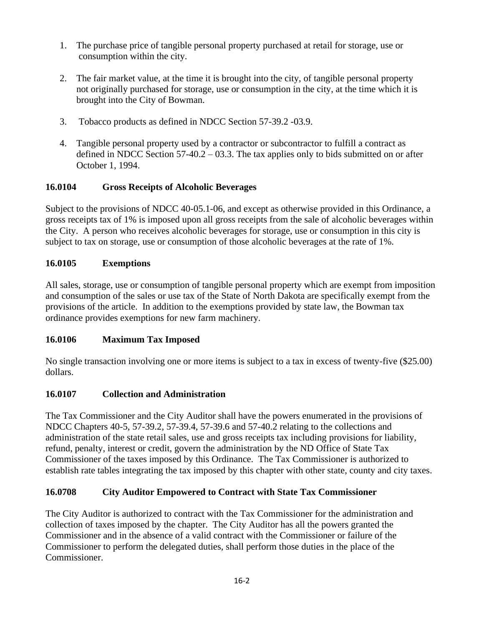- 1. The purchase price of tangible personal property purchased at retail for storage, use or consumption within the city.
- 2. The fair market value, at the time it is brought into the city, of tangible personal property not originally purchased for storage, use or consumption in the city, at the time which it is brought into the City of Bowman.
- 3. Tobacco products as defined in NDCC Section 57-39.2 -03.9.
- 4. Tangible personal property used by a contractor or subcontractor to fulfill a contract as defined in NDCC Section 57-40.2 – 03.3. The tax applies only to bids submitted on or after October 1, 1994.

### **16.0104 Gross Receipts of Alcoholic Beverages**

Subject to the provisions of NDCC 40-05.1-06, and except as otherwise provided in this Ordinance, a gross receipts tax of 1% is imposed upon all gross receipts from the sale of alcoholic beverages within the City. A person who receives alcoholic beverages for storage, use or consumption in this city is subject to tax on storage, use or consumption of those alcoholic beverages at the rate of 1%.

### **16.0105 Exemptions**

All sales, storage, use or consumption of tangible personal property which are exempt from imposition and consumption of the sales or use tax of the State of North Dakota are specifically exempt from the provisions of the article. In addition to the exemptions provided by state law, the Bowman tax ordinance provides exemptions for new farm machinery.

### **16.0106 Maximum Tax Imposed**

No single transaction involving one or more items is subject to a tax in excess of twenty-five (\$25.00) dollars.

### **16.0107 Collection and Administration**

The Tax Commissioner and the City Auditor shall have the powers enumerated in the provisions of NDCC Chapters 40-5, 57-39.2, 57-39.4, 57-39.6 and 57-40.2 relating to the collections and administration of the state retail sales, use and gross receipts tax including provisions for liability, refund, penalty, interest or credit, govern the administration by the ND Office of State Tax Commissioner of the taxes imposed by this Ordinance. The Tax Commissioner is authorized to establish rate tables integrating the tax imposed by this chapter with other state, county and city taxes.

# **16.0708 City Auditor Empowered to Contract with State Tax Commissioner**

The City Auditor is authorized to contract with the Tax Commissioner for the administration and collection of taxes imposed by the chapter. The City Auditor has all the powers granted the Commissioner and in the absence of a valid contract with the Commissioner or failure of the Commissioner to perform the delegated duties, shall perform those duties in the place of the Commissioner.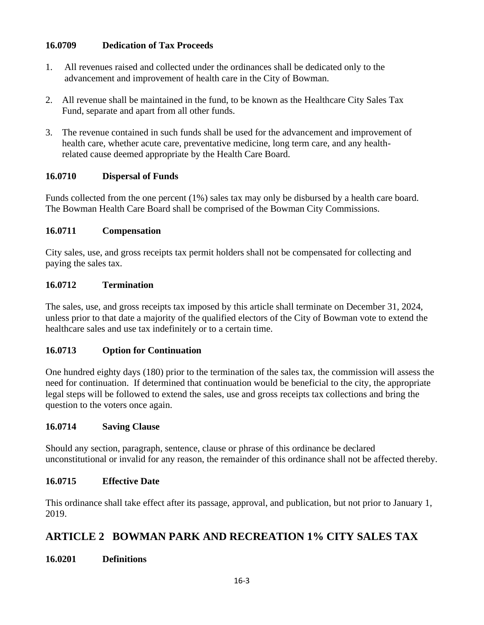### **16.0709 Dedication of Tax Proceeds**

- 1. All revenues raised and collected under the ordinances shall be dedicated only to the advancement and improvement of health care in the City of Bowman.
- 2. All revenue shall be maintained in the fund, to be known as the Healthcare City Sales Tax Fund, separate and apart from all other funds.
- 3. The revenue contained in such funds shall be used for the advancement and improvement of health care, whether acute care, preventative medicine, long term care, and any health related cause deemed appropriate by the Health Care Board.

### **16.0710 Dispersal of Funds**

Funds collected from the one percent (1%) sales tax may only be disbursed by a health care board. The Bowman Health Care Board shall be comprised of the Bowman City Commissions.

### **16.0711 Compensation**

City sales, use, and gross receipts tax permit holders shall not be compensated for collecting and paying the sales tax.

### **16.0712 Termination**

The sales, use, and gross receipts tax imposed by this article shall terminate on December 31, 2024, unless prior to that date a majority of the qualified electors of the City of Bowman vote to extend the healthcare sales and use tax indefinitely or to a certain time.

### **16.0713 Option for Continuation**

One hundred eighty days (180) prior to the termination of the sales tax, the commission will assess the need for continuation. If determined that continuation would be beneficial to the city, the appropriate legal steps will be followed to extend the sales, use and gross receipts tax collections and bring the question to the voters once again.

### **16.0714 Saving Clause**

Should any section, paragraph, sentence, clause or phrase of this ordinance be declared unconstitutional or invalid for any reason, the remainder of this ordinance shall not be affected thereby.

### **16.0715 Effective Date**

This ordinance shall take effect after its passage, approval, and publication, but not prior to January 1, 2019.

# **ARTICLE 2 BOWMAN PARK AND RECREATION 1% CITY SALES TAX**

**16.0201 Definitions**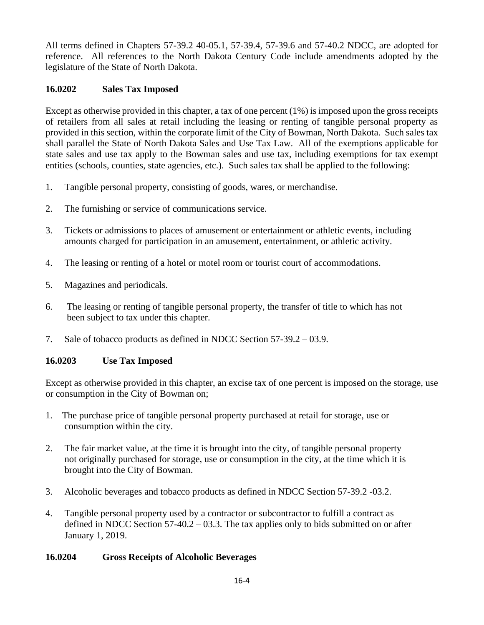All terms defined in Chapters 57-39.2 40-05.1, 57-39.4, 57-39.6 and 57-40.2 NDCC, are adopted for reference. All references to the North Dakota Century Code include amendments adopted by the legislature of the State of North Dakota.

### **16.0202 Sales Tax Imposed**

Except as otherwise provided in this chapter, a tax of one percent (1%) is imposed upon the gross receipts of retailers from all sales at retail including the leasing or renting of tangible personal property as provided in this section, within the corporate limit of the City of Bowman, North Dakota. Such sales tax shall parallel the State of North Dakota Sales and Use Tax Law. All of the exemptions applicable for state sales and use tax apply to the Bowman sales and use tax, including exemptions for tax exempt entities (schools, counties, state agencies, etc.). Such sales tax shall be applied to the following:

- 1. Tangible personal property, consisting of goods, wares, or merchandise.
- 2. The furnishing or service of communications service.
- 3. Tickets or admissions to places of amusement or entertainment or athletic events, including amounts charged for participation in an amusement, entertainment, or athletic activity.
- 4. The leasing or renting of a hotel or motel room or tourist court of accommodations.
- 5. Magazines and periodicals.
- 6. The leasing or renting of tangible personal property, the transfer of title to which has not been subject to tax under this chapter.
- 7. Sale of tobacco products as defined in NDCC Section 57-39.2 03.9.

### **16.0203 Use Tax Imposed**

Except as otherwise provided in this chapter, an excise tax of one percent is imposed on the storage, use or consumption in the City of Bowman on;

- 1. The purchase price of tangible personal property purchased at retail for storage, use or consumption within the city.
- 2. The fair market value, at the time it is brought into the city, of tangible personal property not originally purchased for storage, use or consumption in the city, at the time which it is brought into the City of Bowman.
- 3. Alcoholic beverages and tobacco products as defined in NDCC Section 57-39.2 -03.2.
- 4. Tangible personal property used by a contractor or subcontractor to fulfill a contract as defined in NDCC Section 57-40.2 – 03.3. The tax applies only to bids submitted on or after January 1, 2019.

### **16.0204 Gross Receipts of Alcoholic Beverages**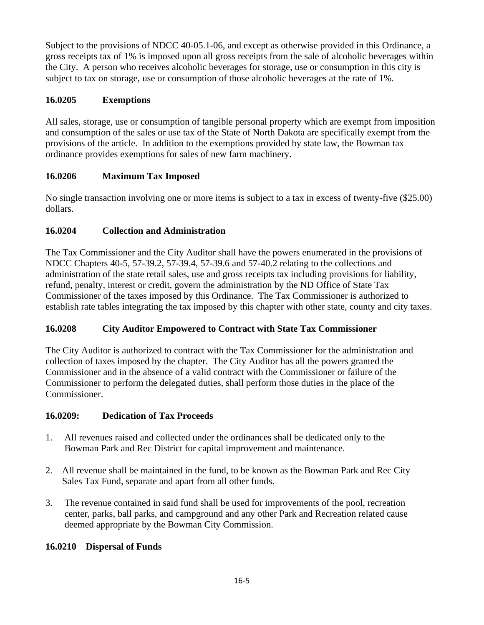Subject to the provisions of NDCC 40-05.1-06, and except as otherwise provided in this Ordinance, a gross receipts tax of 1% is imposed upon all gross receipts from the sale of alcoholic beverages within the City. A person who receives alcoholic beverages for storage, use or consumption in this city is subject to tax on storage, use or consumption of those alcoholic beverages at the rate of 1%.

# **16.0205 Exemptions**

All sales, storage, use or consumption of tangible personal property which are exempt from imposition and consumption of the sales or use tax of the State of North Dakota are specifically exempt from the provisions of the article. In addition to the exemptions provided by state law, the Bowman tax ordinance provides exemptions for sales of new farm machinery.

# **16.0206 Maximum Tax Imposed**

No single transaction involving one or more items is subject to a tax in excess of twenty-five (\$25.00) dollars.

# **16.0204 Collection and Administration**

The Tax Commissioner and the City Auditor shall have the powers enumerated in the provisions of NDCC Chapters 40-5, 57-39.2, 57-39.4, 57-39.6 and 57-40.2 relating to the collections and administration of the state retail sales, use and gross receipts tax including provisions for liability, refund, penalty, interest or credit, govern the administration by the ND Office of State Tax Commissioner of the taxes imposed by this Ordinance. The Tax Commissioner is authorized to establish rate tables integrating the tax imposed by this chapter with other state, county and city taxes.

# **16.0208 City Auditor Empowered to Contract with State Tax Commissioner**

The City Auditor is authorized to contract with the Tax Commissioner for the administration and collection of taxes imposed by the chapter. The City Auditor has all the powers granted the Commissioner and in the absence of a valid contract with the Commissioner or failure of the Commissioner to perform the delegated duties, shall perform those duties in the place of the Commissioner.

# **16.0209: Dedication of Tax Proceeds**

- 1. All revenues raised and collected under the ordinances shall be dedicated only to the Bowman Park and Rec District for capital improvement and maintenance.
- 2. All revenue shall be maintained in the fund, to be known as the Bowman Park and Rec City Sales Tax Fund, separate and apart from all other funds.
- 3. The revenue contained in said fund shall be used for improvements of the pool, recreation center, parks, ball parks, and campground and any other Park and Recreation related cause deemed appropriate by the Bowman City Commission.

# **16.0210 Dispersal of Funds**